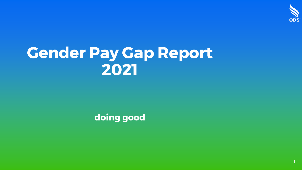

1

# **Gender Pay Gap Report 2021**

**doing good**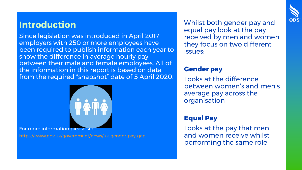### **Introduction**

Since legislation was introduced in April 2017 employers with 250 or more employees have been required to publish information each year to show the difference in average hourly pay between their male and female employees. All of the information in this report is based on data from the required "snapshot" date of 5 April 2020.



For more information please see:

<https://www.gov.uk/government/news/uk-gender-pay-gap>

Whilst both gender pay and equal pay look at the pay received by men and women they focus on two different issues:

#### **Gender pay**

Looks at the difference between women's and men's average pay across the organisation

#### **Equal Pay**

Looks at the pay that men and women receive whilst performing the same role

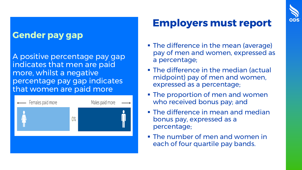### **Gender pay gap**

A positive percentage pay gap indicates that men are paid more, whilst a negative percentage pay gap indicates that women are paid more



### **Employers must report**

**ODS** 

- The difference in the mean (average) pay of men and women, expressed as a percentage;
- **The difference in the median (actual** midpoint) pay of men and women, expressed as a percentage;
- **The proportion of men and women** who received bonus pay; and
- **The difference in mean and median** bonus pay, expressed as a percentage;
- **The number of men and women in** each of four quartile pay bands.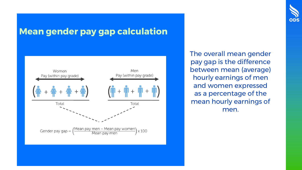

### **Mean gender pay gap calculation**



The overall mean gender pay gap is the difference between mean (average) hourly earnings of men and women expressed as a percentage of the mean hourly earnings of men.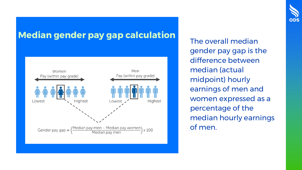## **Median gender pay gap calculation**<br>The overall median



gender pay gap is the difference between median (actual midpoint) hourly earnings of men and women expressed as a percentage of the median hourly earnings of men.

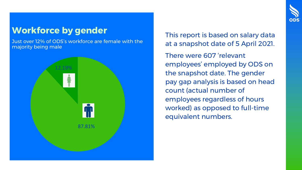### **Workforce by gender**

Just over 12% of ODS's workforce are female with the majority being male



This report is based on salary data at a snapshot date of 5 April 2021.

**ODS** 

There were 607 'relevant employees' employed by ODS on the snapshot date. The gender pay gap analysis is based on head count (actual number of employees regardless of hours worked) as opposed to full-time equivalent numbers.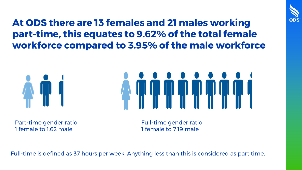

**At ODS there are 13 females and 21 males working part-time, this equates to 9.62% of the total female workforce compared to 3.95% of the male workforce**





Part-time gender ratio 1 female to 1.62 male

Full-time gender ratio 1 female to 7.19 male

Full-time is defined as 37 hours per week. Anything less than this is considered as part time.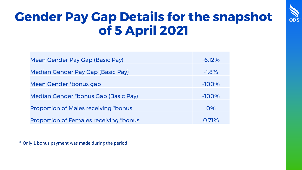

# **Gender Pay Gap Details for the snapshot of 5 April 2021**

| Mean Gender Pay Gap (Basic Pay)               | $-6.12\%$ |
|-----------------------------------------------|-----------|
| Median Gender Pay Gap (Basic Pay)             | $-1.8\%$  |
| Mean Gender *bonus gap                        | $-100%$   |
| Median Gender *bonus Gap (Basic Pay)          | $-100%$   |
| <b>Proportion of Males receiving *bonus</b>   | 0%        |
|                                               |           |
| <b>Proportion of Females receiving *bonus</b> | 0.71%     |

\* Only 1 bonus payment was made during the period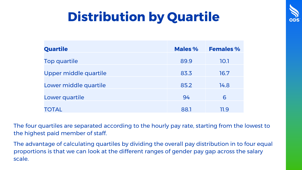

| n |
|---|

| Quartile              | Males % | <b>Females %</b> |
|-----------------------|---------|------------------|
| Top quartile          | 89.9    | 10.1             |
| Upper middle quartile | 83.3    | 16.7             |
| Lower middle quartile | 85.2    | 14.8             |
| Lower quartile        | 94      | 6                |
| <b>TOTAL</b>          | 88.1    | 11.9             |

The four quartiles are separated according to the hourly pay rate, starting from the lowest to the highest paid member of staff.

The advantage of calculating quartiles by dividing the overall pay distribution in to four equal proportions is that we can look at the different ranges of gender pay gap across the salary scale.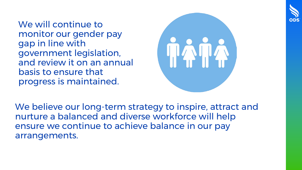

We will continue to monitor our gender pay gap in line with government legislation, and review it on an annual basis to ensure that progress is maintained.



We believe our long-term strategy to inspire, attract and nurture a balanced and diverse workforce will help ensure we continue to achieve balance in our pay arrangements.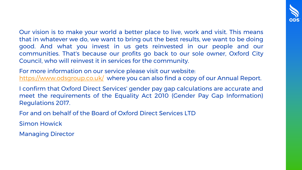

Our vision is to make your world a better place to live, work and visit. This means that in whatever we do, we want to bring out the best results, we want to be doing good. And what you invest in us gets reinvested in our people and our communities. That's because our profits go back to our sole owner, Oxford City Council, who will reinvest it in services for the community.

For more information on our service please visit our website: <https://www.odsgroup.co.uk/> where you can also find a copy of our Annual Report.

I confirm that Oxford Direct Services' gender pay gap calculations are accurate and meet the requirements of the Equality Act 2010 (Gender Pay Gap Information) Regulations 2017.

For and on behalf of the Board of Oxford Direct Services LTD

Simon Howick

Managing Director